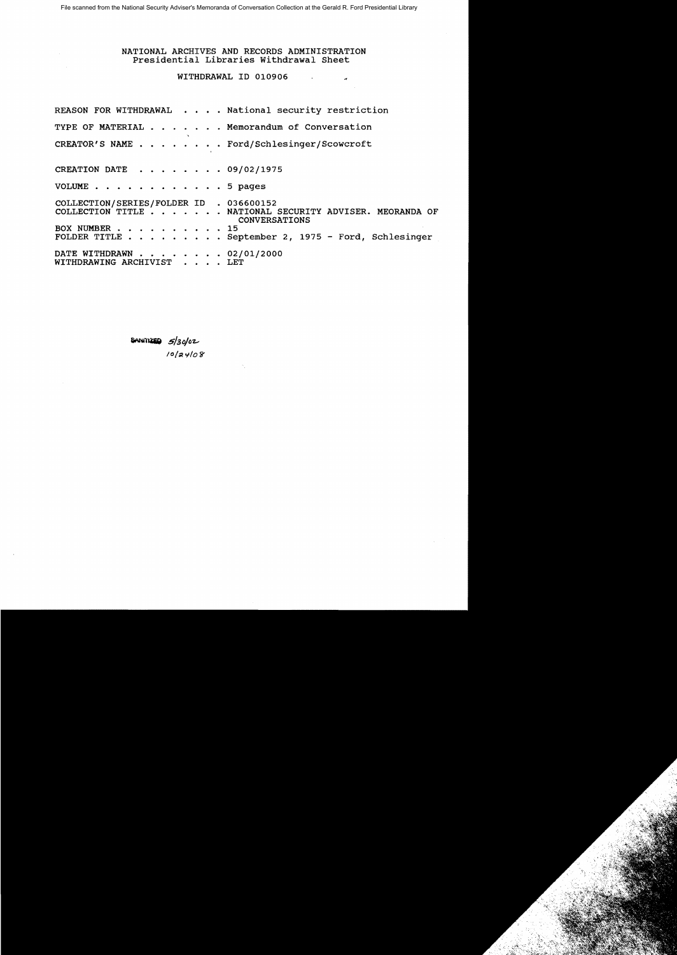#### NATIONAL ARCHIVES AND RECORDS ADMINISTRATION Presidential Libraries withdrawal Sheet

#### WITHDRAWAL ID 010906

REASON FOR WITHDRAWAL . . . . National security restriction TYPE OF MATERIAL . . . . . . Memorandum of Conversation CREATOR'S NAME ..... Ford/Schlesinger/Scowcroft CREATION DATE . . . . . . . . 09/02/1975 VOLUME . . . . . . . . . . . . 5 pages COLLECTION/SERIES/FOLDER ID . 036600152 COLLECTION TITLE . .... NATIONAL SECURITY ADVISER. MEORANDA OF CONVERSATIONS BOX NUMBER . . . . . . 15 FOLDER TITLE. . . . . September 2, 1975 - Ford, Schlesinger DATE WITHDRAWN . . . . . . . 02/01/2000 WITHDRAWING ARCHIVIST . . . . LET

> $\frac{1}{2}$   $\frac{1}{30}$   $\frac{1}{20}$ *I*<sup>0</sup>/24/08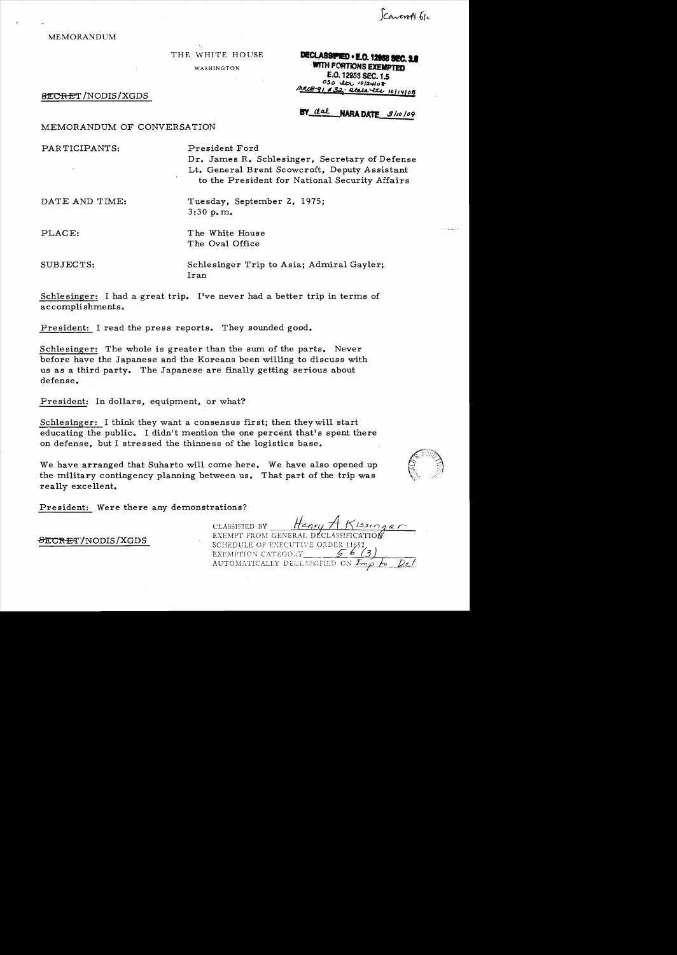Coweroft file

#### MEMORANDUM

THE WHITE HOUSE

WASHINGTON

# **DECLASSIFIED . E.O. 12958 SEC. 3.1 WITH PORTIONS EXEMPTED** E.O. 12953 SEC. 1.5  $050$  the  $10/24108$ MRO8-91, #32; Rtala etc 10114108

#### 8ECRET/NODIS/XGDS

# BY dal NARA DATE 3110109

# MEMORANDUM OF CONVERSATION

PAR TICIPANTS: President Ford Dr. James R. Schlesinger, Secretary of Defense Lt. General Brent Scowcroft, Deputy Assistant to the President for National Security Affairs

DATE AND TIME: Tuesday, September 2, 1975; 3:30 p. m.

PLACE: The White House The Oval Office

SUBJECTS: Schlesinger Trip to Asia; Admiral Gayler; Iran

Schle singer: I had a great trip. I've never had a better trip in terms of accomplishments.

President: I read the press reports. They sounded good.

Schlesinger: The whole is greater than the sum of the parts. Never before have the Japanese and the Koreans been willing to discuss with us as a third party. The Japanese are finally getting serious about defense.

President: In dollars, equipment, or what?

Schlesinger: I think they want a consensus first; then they will start educating the public. I didn't mention the one percent that's spent there on defense, but I stressed the thinness of the logistics base.

We have arranged that Suharto will come here. We have also opened up the military contingency planning between us. That part of the trip was really excellent.



President: Were there any demonstrations?

 $-FECT/ NODIS/XGDS$ 

| CLASSIFIED BY                                       | Henry H. Kissinger |  |
|-----------------------------------------------------|--------------------|--|
| EXEMPT FROM GENERAL DECLASSIFICATION                |                    |  |
| SCHEDULE OF EXECUTIVE ORDER 11652,                  |                    |  |
| EXEMPTION CATEGORY                                  |                    |  |
| AUTOMATICALLY DECLASSIFIED ON $\mathcal{I}_{m}\rho$ |                    |  |
|                                                     |                    |  |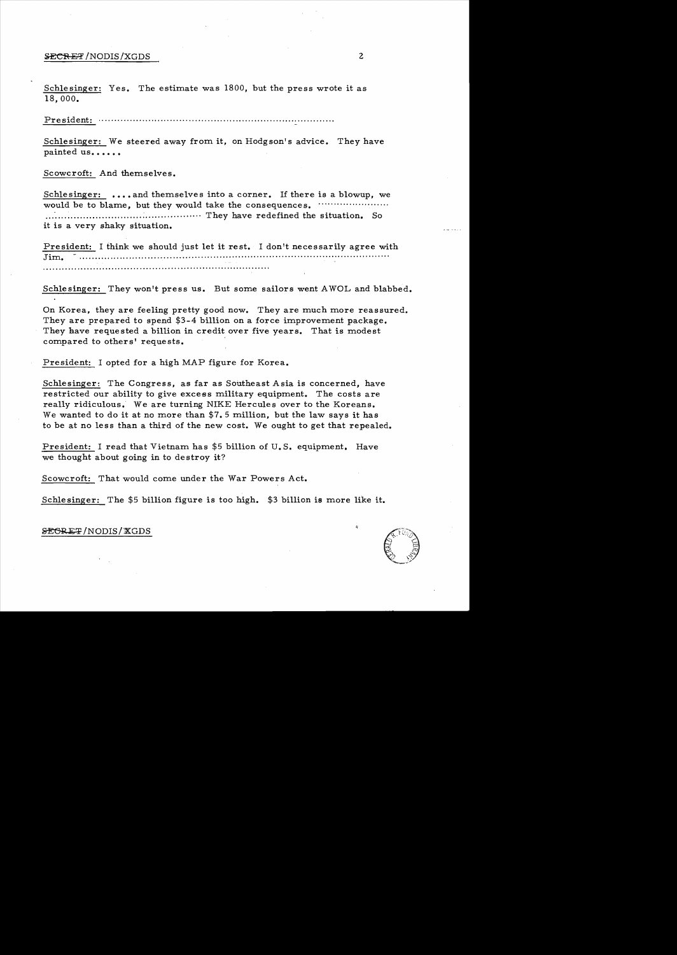## **SECRET**/NODIS/XGDS 2

Schlesinger: Yes. The estimate was 1800, but the press wrote it as 18,000.

President:

Schlesinger: We steered away from it, on Hodgson's advice. They have painted us......

Scowcroft: And themselves.

Schlesinger: ....and themselves into a corner. If there is a blowup, we would be to blame, but they would take the consequences. ....................... ........................ .......................... They have redefined the situation. So it is a very shaky situation.

President: I think we should just let it rest. I don't necessarily agree with Jim. **............................... ............. .............................** 

Schlesinger: They won't press us. But some sailors went AWOL and blabbed.

On Korea, they are feeling pretty good now. They are much more reassured. They are prepared to spend \$3-4 billion on a force improvement package. They have requested a billion in credit over five years. That is modest compared to others' requests.

President: I opted for a high MAP figure for Korea.

Schlesinger: The Congress, as far as Southeast Asia is concerned, have restricted our ability to give excess military equipment. The costs are really ridiculous. We are turning NIKE Hercules over to the Koreans. We wanted to do it at no more than \$7. 5 million, but the law says it has to be at no less than a third of the new cost. We ought to get that repealed.

President: I read that Vietnam has \$5 billion of U. S. equipment. Have we thought about going in to destroy it?

Scowcroft: That would come under the War Powers Act.

Schlesinger: The \$5 billion figure is too high. \$3 billion is more like it.

#### **SEGRET/NODIS/XGDS**

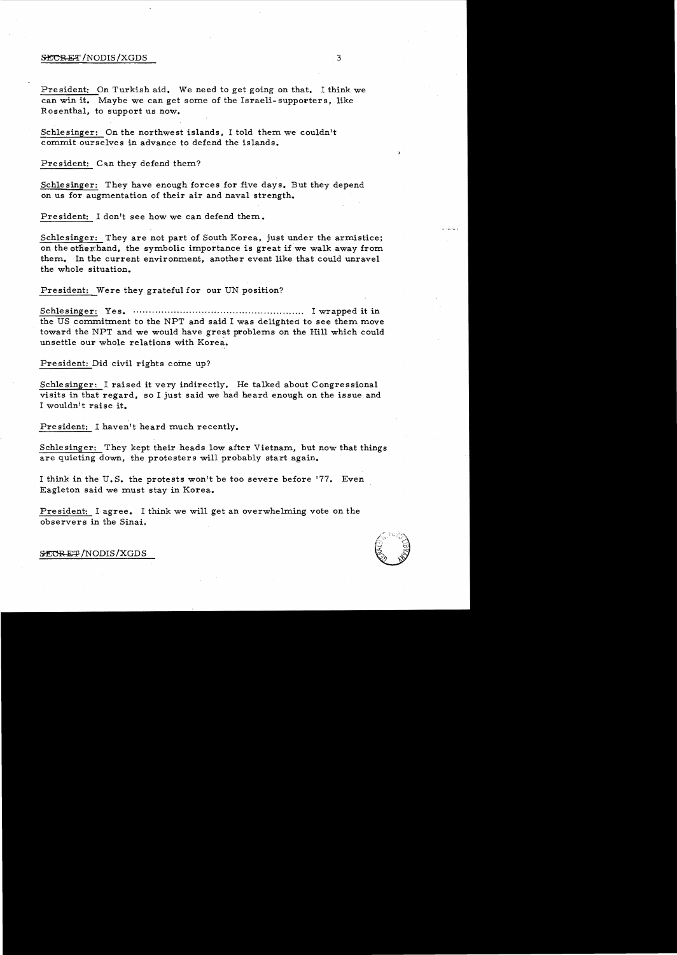#### $\frac{1}{3}$

President: On Turkish aid. We need to get going on that. I think we can win it. Maybe we can get some of the Israeli-supporters, like Rosenthal, to support us now.

Schlesinger: On the northwest islands, I told them we couldn't commit ourselves in advance to defend the islands.

President: Can they defend them?

Schlesinger: They have enough forces for five days. But they depend on us for augmentation of their air and naval strength.

President: I don't see how we can defend them.

Schlesinger: They are not part of South Korea, just under the armistice; on the other hand, the symbolic importance is great if we walk away from them. In the current environment, another event like that could unravel the whole situation.

President: Were they grateful for onr UN position?

Schlesinger: Yes. ..... ..... ............ ......... ........... ...... ....... I wrapped it in the US commitment to the NPT and said I was delighted to see them move toward the NPT and we would have great problems on the Hill which could unsettle our whole relations with Korea.

President: Did civil rights come up?

Schlesinger: I raised it very indirectly. He talked about Congressional visits in that regard, so I just said we had heard enough on the issue and I wouldn't raise it.

President: I haven't heard much recently.

Schle singer: They kept their heads low after Vietnam, but now that things are quieting down, the protesters will probably start again.

I think in the U.S. the protests won't be too severe before '77. Even Eagleton said we must stay in Korea.

President: I agree. I think we will get an overwhelming vote on the observers in the Sinai.



~/NODIS/XGDS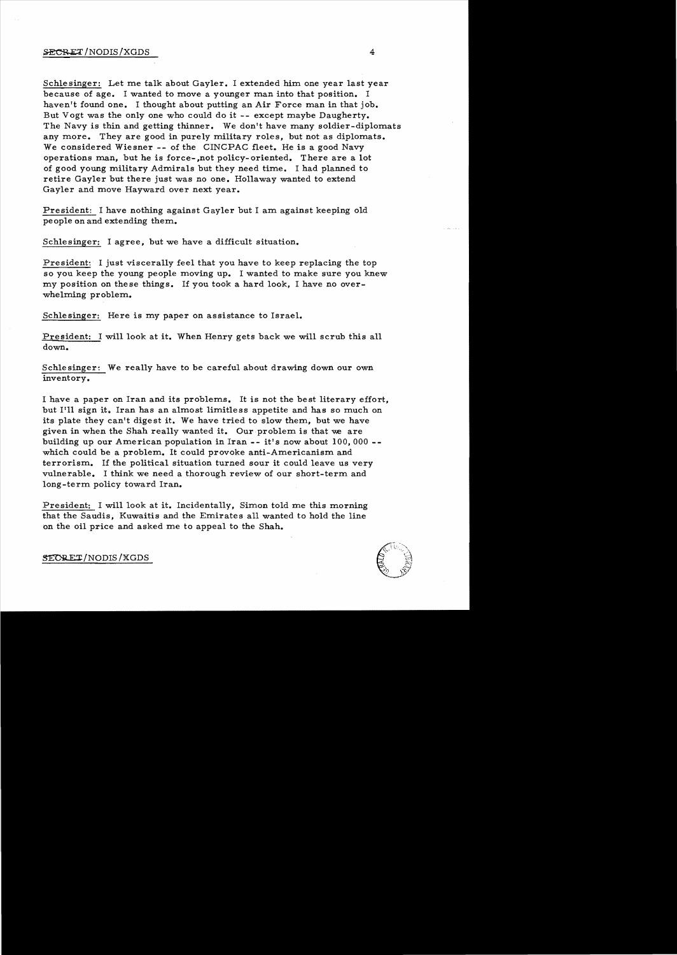## $\angle$  SECRET/NODIS/XGDS 4

Schlesinger: Let me talk about Gayler. I extended him one year last year because of age. I wanted to move a younger man into that position. I haven't found one. I thought about putting an Air Force man in that job. But Vogt was the only one who could do it -- except maybe Daugherty. The Navy is thin and getting thinner. We don't have many soldier-diplomats any more. They are good in purely military roles, but not as diplomats. We considered Wiesner -- of the CINCPAC fleet. He is a good Navy operations man, but he is force- ,not policy- oriented. There are a lot of good young military Admirals but they need time. I had planned to retire Gayler but there just was no one. Hollaway wanted to extend Gayler and move Hayward over next year.

President: I have nothing against Gayler but I am against keeping old pe ople on and extending them.

Schlesinger: I agree, but we have a difficult situation.

President: I just viscerally feel that you have to keep replacing the top so you keep the young people moving up. I wanted to make sure you knew my position on these things. If you took a hard look, I have no overwhelming problem.

Schlesinger: Here is my paper on assistance to Israel.

**President:** I will look at it. When Henry gets back we will scrub this all down.

Schlesinger: We really have to be careful about drawing down our own inventory.

I have a paper on Iran and its problems. It is not the best literary effort, but I'll sign it. Iran has an almost limitless appetite and has so much on its plate they can't digest it. We have tried to slow them, but we have given in when the Shah really wanted it. Our problem is that we are building up our American population in Iran -- it's now about 100,000 which could be a problem. It could provoke anti-Americanism and terrorism. If the political situation turned sour it could leave us very vulnerable. I think we need a thorough review of our short-term and long-term policy toward Iran.

President: I will look at it. Incidentally, Simon told me this morning that the Saudis, Kuwaitis and the Emirates a11 wanted to hold the line on the oil price and asked me to appeal to the Shah.



SECRET/NODIS/XGDS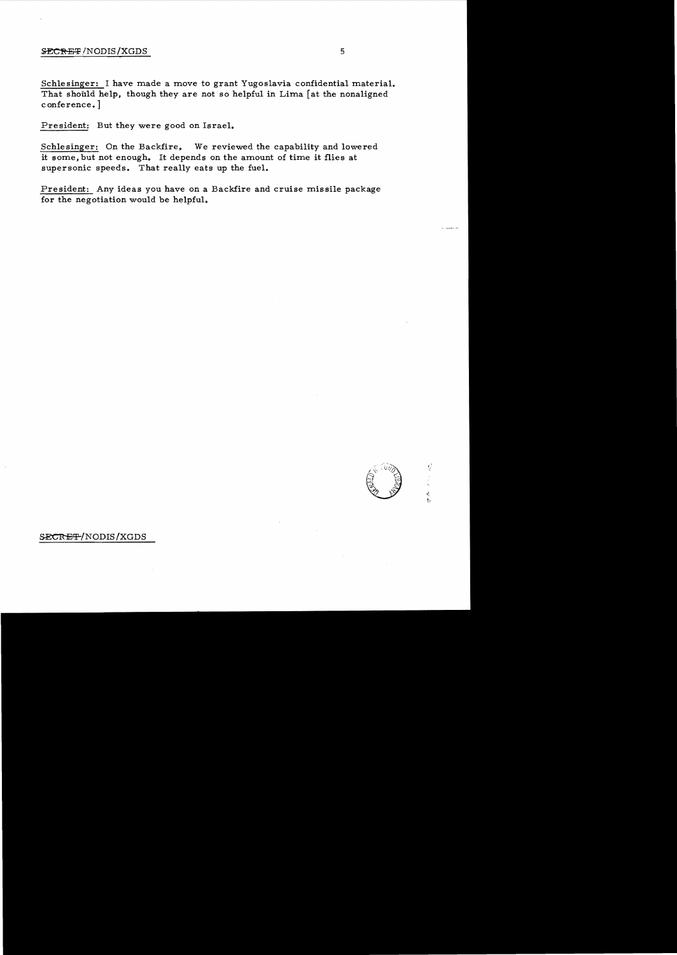#### **SECRET**/NODIS/XGDS 5

Schlesinger: I have made a move to grant Yugoslavia confidential material. That should help, though they are not so helpful in Lima [at the nonaligned conference. ]

President: But they were good on Israel.

Schlesinger: On the Backfire, We reviewed the capability and lowered it some, but not enough. It depends on the amount of time it flies at supersonic speeds. That really eats up the fuel.

President: Any ideas you have on a Backfire and cruise missile package for the negotiation would be helpful.

# SECRET/NODIS/XGDS